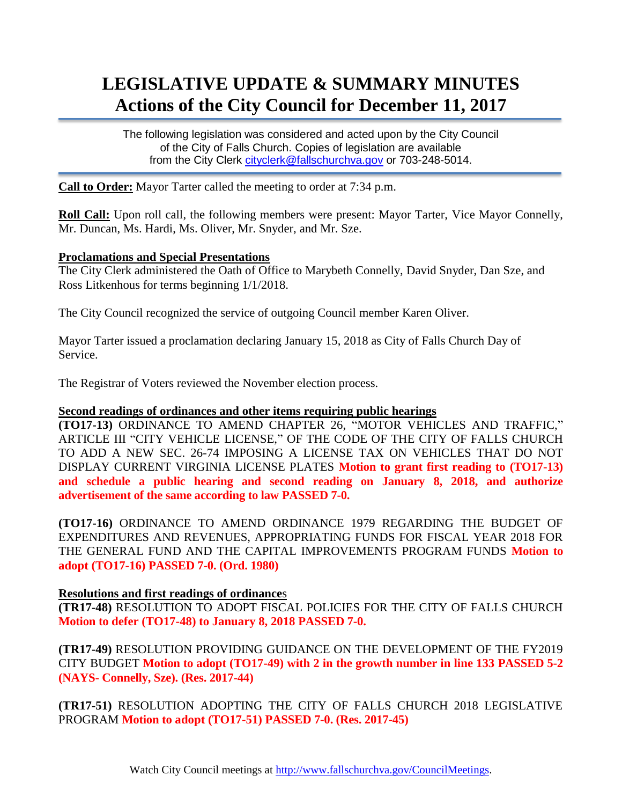# **LEGISLATIVE UPDATE & SUMMARY MINUTES Actions of the City Council for December 11, 2017**

The following legislation was considered and acted upon by the City Council of the City of Falls Church. Copies of legislation are available from the City Clerk [cityclerk@fallschurchva.gov](mailto:cityclerk@fallschurchva.gov) or 703-248-5014.

**Call to Order:** Mayor Tarter called the meeting to order at 7:34 p.m.

**Roll Call:** Upon roll call, the following members were present: Mayor Tarter, Vice Mayor Connelly, Mr. Duncan, Ms. Hardi, Ms. Oliver, Mr. Snyder, and Mr. Sze.

#### **Proclamations and Special Presentations**

The City Clerk administered the Oath of Office to Marybeth Connelly, David Snyder, Dan Sze, and Ross Litkenhous for terms beginning 1/1/2018.

The City Council recognized the service of outgoing Council member Karen Oliver.

Mayor Tarter issued a proclamation declaring January 15, 2018 as City of Falls Church Day of Service.

The Registrar of Voters reviewed the November election process.

#### **Second readings of ordinances and other items requiring public hearings**

**(TO17-13)** ORDINANCE TO AMEND CHAPTER 26, "MOTOR VEHICLES AND TRAFFIC," ARTICLE III "CITY VEHICLE LICENSE," OF THE CODE OF THE CITY OF FALLS CHURCH TO ADD A NEW SEC. 26-74 IMPOSING A LICENSE TAX ON VEHICLES THAT DO NOT DISPLAY CURRENT VIRGINIA LICENSE PLATES **Motion to grant first reading to (TO17-13) and schedule a public hearing and second reading on January 8, 2018, and authorize advertisement of the same according to law PASSED 7-0.**

**(TO17-16)** ORDINANCE TO AMEND ORDINANCE 1979 REGARDING THE BUDGET OF EXPENDITURES AND REVENUES, APPROPRIATING FUNDS FOR FISCAL YEAR 2018 FOR THE GENERAL FUND AND THE CAPITAL IMPROVEMENTS PROGRAM FUNDS **Motion to adopt (TO17-16) PASSED 7-0. (Ord. 1980)**

### **Resolutions and first readings of ordinance**s

**(TR17-48)** RESOLUTION TO ADOPT FISCAL POLICIES FOR THE CITY OF FALLS CHURCH **Motion to defer (TO17-48) to January 8, 2018 PASSED 7-0.**

**(TR17-49)** RESOLUTION PROVIDING GUIDANCE ON THE DEVELOPMENT OF THE FY2019 CITY BUDGET **Motion to adopt (TO17-49) with 2 in the growth number in line 133 PASSED 5-2 (NAYS- Connelly, Sze). (Res. 2017-44)**

**(TR17-51)** RESOLUTION ADOPTING THE CITY OF FALLS CHURCH 2018 LEGISLATIVE PROGRAM **Motion to adopt (TO17-51) PASSED 7-0. (Res. 2017-45)**